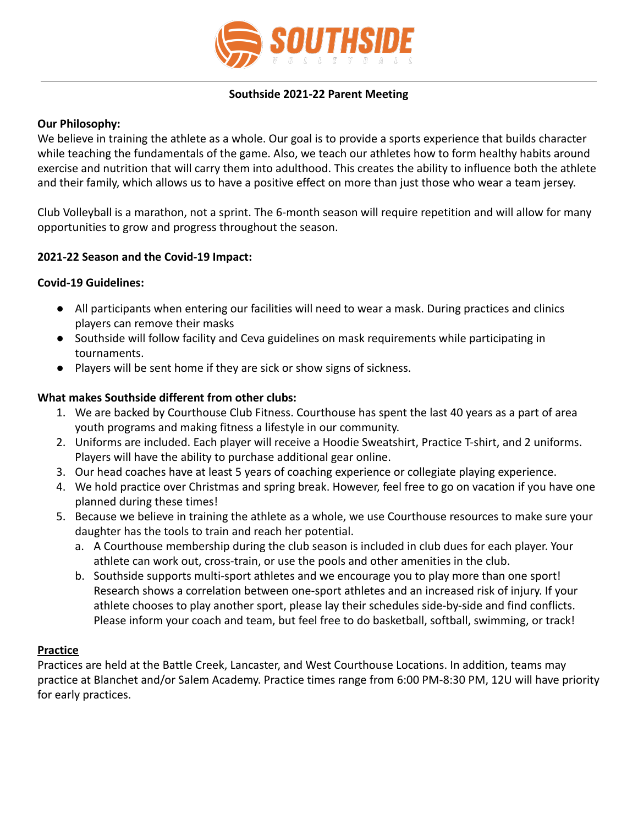

## **Southside 2021-22 Parent Meeting**

# **Our Philosophy:**

We believe in training the athlete as a whole. Our goal is to provide a sports experience that builds character while teaching the fundamentals of the game. Also, we teach our athletes how to form healthy habits around exercise and nutrition that will carry them into adulthood. This creates the ability to influence both the athlete and their family, which allows us to have a positive effect on more than just those who wear a team jersey.

Club Volleyball is a marathon, not a sprint. The 6-month season will require repetition and will allow for many opportunities to grow and progress throughout the season.

# **2021-22 Season and the Covid-19 Impact:**

## **Covid-19 Guidelines:**

- All participants when entering our facilities will need to wear a mask. During practices and clinics players can remove their masks
- Southside will follow facility and Ceva guidelines on mask requirements while participating in tournaments.
- Players will be sent home if they are sick or show signs of sickness.

## **What makes Southside different from other clubs:**

- 1. We are backed by Courthouse Club Fitness. Courthouse has spent the last 40 years as a part of area youth programs and making fitness a lifestyle in our community.
- 2. Uniforms are included. Each player will receive a Hoodie Sweatshirt, Practice T-shirt, and 2 uniforms. Players will have the ability to purchase additional gear online.
- 3. Our head coaches have at least 5 years of coaching experience or collegiate playing experience.
- 4. We hold practice over Christmas and spring break. However, feel free to go on vacation if you have one planned during these times!
- 5. Because we believe in training the athlete as a whole, we use Courthouse resources to make sure your daughter has the tools to train and reach her potential.
	- a. A Courthouse membership during the club season is included in club dues for each player. Your athlete can work out, cross-train, or use the pools and other amenities in the club.
	- b. Southside supports multi-sport athletes and we encourage you to play more than one sport! Research shows a correlation between one-sport athletes and an increased risk of injury. If your athlete chooses to play another sport, please lay their schedules side-by-side and find conflicts. Please inform your coach and team, but feel free to do basketball, softball, swimming, or track!

## **Practice**

Practices are held at the Battle Creek, Lancaster, and West Courthouse Locations. In addition, teams may practice at Blanchet and/or Salem Academy. Practice times range from 6:00 PM-8:30 PM, 12U will have priority for early practices.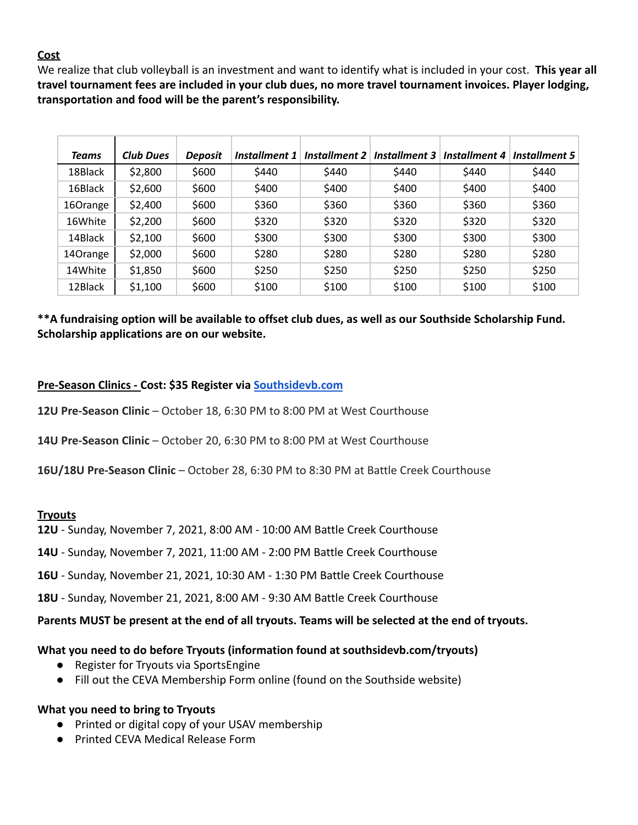# **Cost**

We realize that club volleyball is an investment and want to identify what is included in your cost. **This year all travel tournament fees are included in your club dues, no more travel tournament invoices. Player lodging, transportation and food will be the parent's responsibility.**

| <b>Teams</b> | Club Dues | <b>Deposit</b> | Installment 1 | Installment 2 | Installment 3 | Installment 4 | Installment 5 |
|--------------|-----------|----------------|---------------|---------------|---------------|---------------|---------------|
| 18Black      | \$2,800   | \$600          | \$440         | \$440         | \$440         | \$440         | \$440         |
| 16Black      | \$2,600   | \$600          | \$400         | \$400         | \$400         | \$400         | \$400         |
| 16Orange     | \$2,400   | \$600          | \$360         | \$360         | \$360         | \$360         | \$360         |
| 16White      | \$2,200   | \$600          | \$320         | \$320         | \$320         | \$320         | \$320         |
| 14Black      | \$2,100   | \$600          | \$300         | \$300         | \$300         | \$300         | \$300         |
| 14Orange     | \$2,000   | \$600          | \$280         | \$280         | \$280         | \$280         | \$280         |
| 14White      | \$1,850   | \$600          | \$250         | \$250         | \$250         | \$250         | \$250         |
| 12Black      | \$1,100   | \$600          | \$100         | \$100         | \$100         | \$100         | \$100         |

# **\*\*A fundraising option will be available to offset club dues, as well as our Southside Scholarship Fund. Scholarship applications are on our website.**

# **Pre-Season Clinics - Cost: \$35 Register via [Southsidevb.com](https://www.southsidevb.com/clinic/)**

**12U Pre-Season Clinic** – October 18, 6:30 PM to 8:00 PM at West Courthouse

**14U Pre-Season Clinic** – October 20, 6:30 PM to 8:00 PM at West Courthouse

**16U/18U Pre-Season Clinic** – October 28, 6:30 PM to 8:30 PM at Battle Creek Courthouse

## **Tryouts**

**12U** - Sunday, November 7, 2021, 8:00 AM - 10:00 AM Battle Creek Courthouse

**14U** - Sunday, November 7, 2021, 11:00 AM - 2:00 PM Battle Creek Courthouse

**16U** - Sunday, November 21, 2021, 10:30 AM - 1:30 PM Battle Creek Courthouse

**18U** - Sunday, November 21, 2021, 8:00 AM - 9:30 AM Battle Creek Courthouse

#### **Parents MUST be present at the end of all tryouts. Teams will be selected at the end of tryouts.**

## **What you need to do before Tryouts (information found at southsidevb.com/tryouts)**

- Register for Tryouts via SportsEngine
- Fill out the CEVA Membership Form online (found on the Southside website)

#### **What you need to bring to Tryouts**

- Printed or digital copy of your USAV membership
- Printed CEVA Medical Release Form